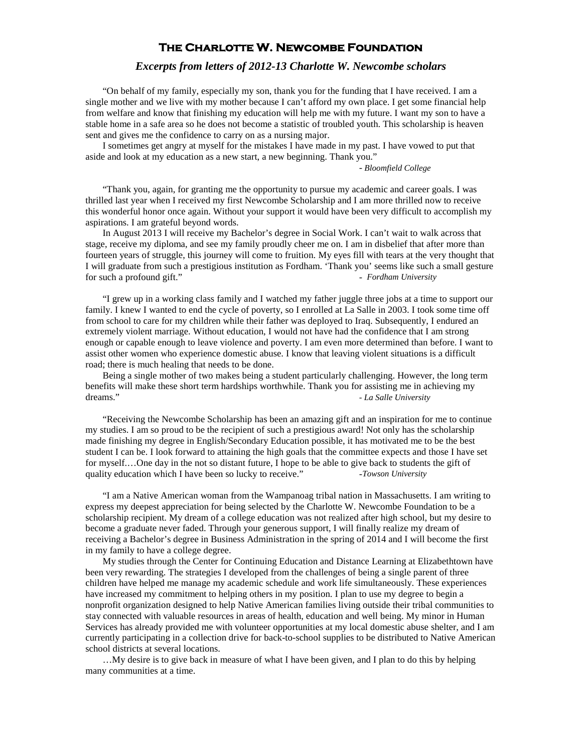## **The Charlotte W. Newcombe Foundation**

## *Excerpts from letters of 2012-13 Charlotte W. Newcombe scholars*

"On behalf of my family, especially my son, thank you for the funding that I have received. I am a single mother and we live with my mother because I can't afford my own place. I get some financial help from welfare and know that finishing my education will help me with my future. I want my son to have a stable home in a safe area so he does not become a statistic of troubled youth. This scholarship is heaven sent and gives me the confidence to carry on as a nursing major.

I sometimes get angry at myself for the mistakes I have made in my past. I have vowed to put that aside and look at my education as a new start, a new beginning. Thank you."

- *Bloomfield College*

"Thank you, again, for granting me the opportunity to pursue my academic and career goals. I was thrilled last year when I received my first Newcombe Scholarship and I am more thrilled now to receive this wonderful honor once again. Without your support it would have been very difficult to accomplish my aspirations. I am grateful beyond words.

In August 2013 I will receive my Bachelor's degree in Social Work. I can't wait to walk across that stage, receive my diploma, and see my family proudly cheer me on. I am in disbelief that after more than fourteen years of struggle, this journey will come to fruition. My eyes fill with tears at the very thought that I will graduate from such a prestigious institution as Fordham. 'Thank you' seems like such a small gesture for such a profound gift." *- Fordham University*

"I grew up in a working class family and I watched my father juggle three jobs at a time to support our family. I knew I wanted to end the cycle of poverty, so I enrolled at La Salle in 2003. I took some time off from school to care for my children while their father was deployed to Iraq. Subsequently, I endured an extremely violent marriage. Without education, I would not have had the confidence that I am strong enough or capable enough to leave violence and poverty. I am even more determined than before. I want to assist other women who experience domestic abuse. I know that leaving violent situations is a difficult road; there is much healing that needs to be done.

Being a single mother of two makes being a student particularly challenging. However, the long term benefits will make these short term hardships worthwhile. Thank you for assisting me in achieving my dreams." *- La Salle University*

"Receiving the Newcombe Scholarship has been an amazing gift and an inspiration for me to continue my studies. I am so proud to be the recipient of such a prestigious award! Not only has the scholarship made finishing my degree in English/Secondary Education possible, it has motivated me to be the best student I can be. I look forward to attaining the high goals that the committee expects and those I have set for myself.…One day in the not so distant future, I hope to be able to give back to students the gift of quality education which I have been so lucky to receive." *-Towson University*

"I am a Native American woman from the Wampanoag tribal nation in Massachusetts. I am writing to express my deepest appreciation for being selected by the Charlotte W. Newcombe Foundation to be a scholarship recipient. My dream of a college education was not realized after high school, but my desire to become a graduate never faded. Through your generous support, I will finally realize my dream of receiving a Bachelor's degree in Business Administration in the spring of 2014 and I will become the first in my family to have a college degree.

My studies through the Center for Continuing Education and Distance Learning at Elizabethtown have been very rewarding. The strategies I developed from the challenges of being a single parent of three children have helped me manage my academic schedule and work life simultaneously. These experiences have increased my commitment to helping others in my position. I plan to use my degree to begin a nonprofit organization designed to help Native American families living outside their tribal communities to stay connected with valuable resources in areas of health, education and well being. My minor in Human Services has already provided me with volunteer opportunities at my local domestic abuse shelter, and I am currently participating in a collection drive for back-to-school supplies to be distributed to Native American school districts at several locations.

…My desire is to give back in measure of what I have been given, and I plan to do this by helping many communities at a time.